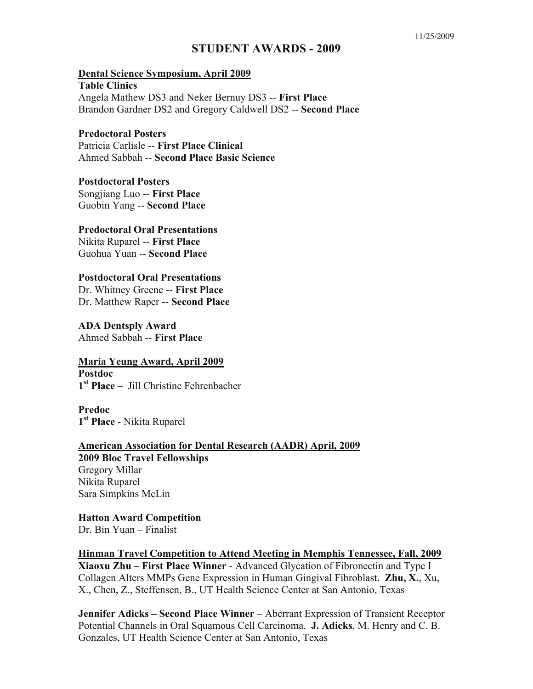# **STUDENT AWARDS - 2009**

# **Dental Science Symposium, April 2009 Table Clinics**  Angela Mathew DS3 and Neker Bernuy DS3 -- **First Place** Brandon Gardner DS2 and Gregory Caldwell DS2 -- **Second Place**

#### **Predoctoral Posters**

Patricia Carlisle -- **First Place Clinical** Ahmed Sabbah -- **Second Place Basic Science**

## **Postdoctoral Posters**

Songjiang Luo -- **First Place** Guobin Yang -- **Second Place**

## **Predoctoral Oral Presentations**

Nikita Ruparel -- **First Place** Guohua Yuan -- **Second Place**

# **Postdoctoral Oral Presentations**

Dr. Whitney Greene -- **First Place** Dr. Matthew Raper -- **Second Place**

**ADA Dentsply Award**  Ahmed Sabbah -- **First Place**

# **Maria Yeung Award, April 2009**

**Postdoc 1st Place** – Jill Christine Fehrenbacher

**Predoc 1st Place** - Nikita Ruparel

**American Association for Dental Research (AADR) April, 2009 2009 Bloc Travel Fellowships**  Gregory Millar Nikita Ruparel Sara Simpkins McLin

**Hatton Award Competition** Dr. Bin Yuan – Finalist

**Hinman Travel Competition to Attend Meeting in Memphis Tennessee, Fall, 2009 Xiaoxu Zhu – First Place Winner** - Advanced Glycation of Fibronectin and Type I Collagen Alters MMPs Gene Expression in Human Gingival Fibroblast. **Zhu, X.**, Xu, X., Chen, Z., Steffensen, B., UT Health Science Center at San Antonio, Texas

**Jennifer Adicks – Second Place Winner** – Aberrant Expression of Transient Receptor Potential Channels in Oral Squamous Cell Carcinoma. **J. Adicks**, M. Henry and C. B. Gonzales, UT Health Science Center at San Antonio, Texas